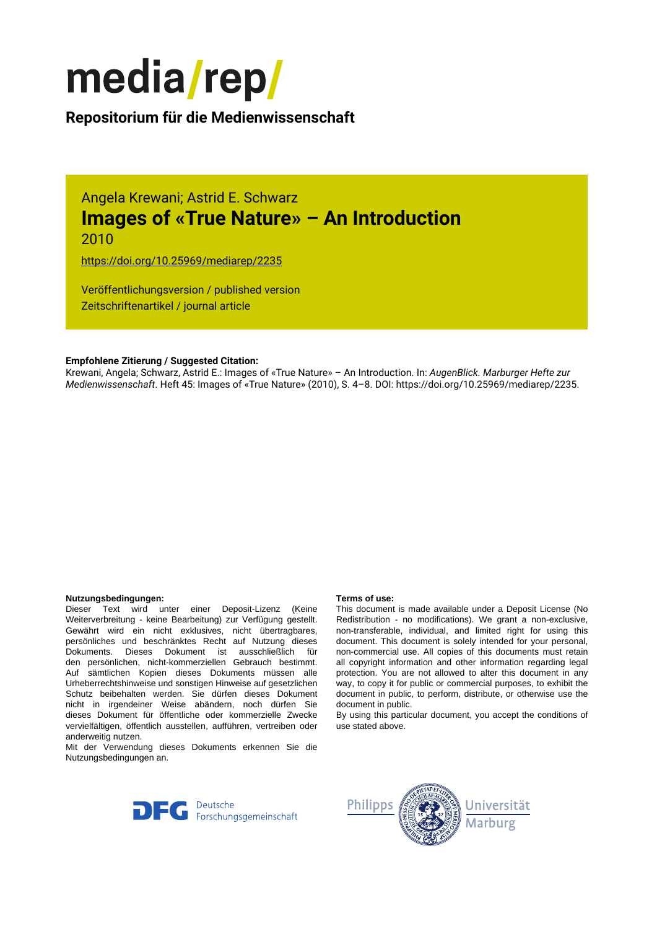

# **Repositorium für die [Medienwissenschaft](https://mediarep.org)**

Angela Krewani; Astrid E. Schwarz **Images of «True Nature» – An Introduction** 2010

<https://doi.org/10.25969/mediarep/2235>

Veröffentlichungsversion / published version Zeitschriftenartikel / journal article

### **Empfohlene Zitierung / Suggested Citation:**

Krewani, Angela; Schwarz, Astrid E.: Images of «True Nature» – An Introduction. In: *AugenBlick. Marburger Hefte zur Medienwissenschaft*. Heft 45: Images of «True Nature» (2010), S. 4–8. DOI: https://doi.org/10.25969/mediarep/2235.

#### **Nutzungsbedingungen: Terms of use:**

Dieser Text wird unter einer Deposit-Lizenz (Keine Weiterverbreitung - keine Bearbeitung) zur Verfügung gestellt. Gewährt wird ein nicht exklusives, nicht übertragbares, persönliches und beschränktes Recht auf Nutzung dieses Dokuments. Dieses Dokument ist ausschließlich für den persönlichen, nicht-kommerziellen Gebrauch bestimmt. Auf sämtlichen Kopien dieses Dokuments müssen alle Urheberrechtshinweise und sonstigen Hinweise auf gesetzlichen Schutz beibehalten werden. Sie dürfen dieses Dokument nicht in irgendeiner Weise abändern, noch dürfen Sie dieses Dokument für öffentliche oder kommerzielle Zwecke vervielfältigen, öffentlich ausstellen, aufführen, vertreiben oder anderweitig nutzen.

Mit der Verwendung dieses Dokuments erkennen Sie die Nutzungsbedingungen an.

This document is made available under a Deposit License (No Redistribution - no modifications). We grant a non-exclusive, non-transferable, individual, and limited right for using this document. This document is solely intended for your personal, non-commercial use. All copies of this documents must retain all copyright information and other information regarding legal protection. You are not allowed to alter this document in any way, to copy it for public or commercial purposes, to exhibit the document in public, to perform, distribute, or otherwise use the document in public.

By using this particular document, you accept the conditions of use stated above.



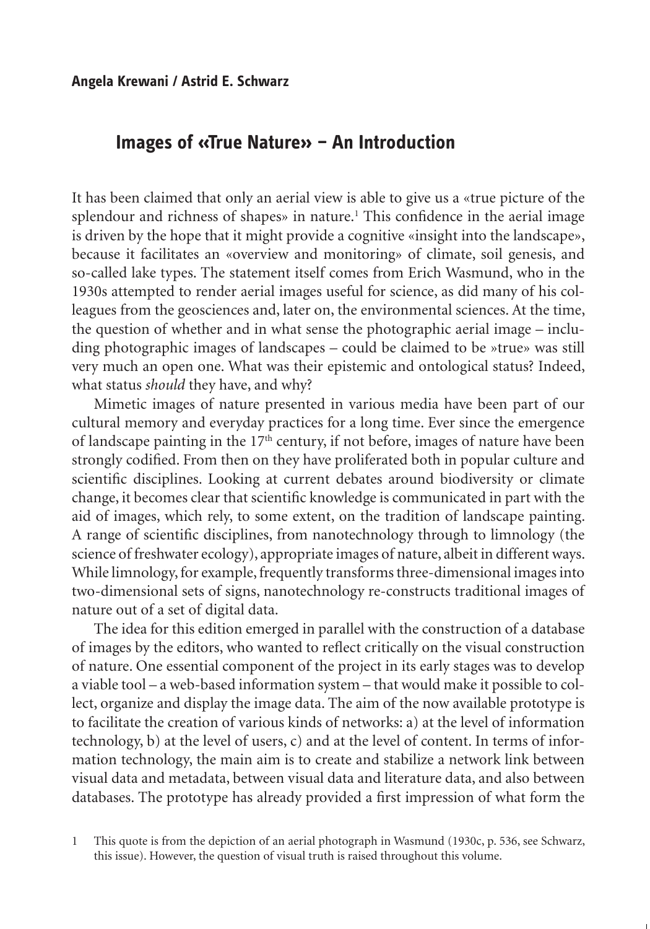## **Images of «True Nature» – An Introduction**

It has been claimed that only an aerial view is able to give us a «true picture of the splendour and richness of shapes» in nature.<sup>1</sup> This confidence in the aerial image is driven by the hope that it might provide a cognitive «insight into the landscape», because it facilitates an «overview and monitoring» of climate, soil genesis, and so-called lake types. The statement itself comes from Erich Wasmund, who in the 1930s attempted to render aerial images useful for science, as did many of his colleagues from the geosciences and, later on, the environmental sciences. At the time, the question of whether and in what sense the photographic aerial image – including photographic images of landscapes – could be claimed to be »true» was still very much an open one. What was their epistemic and ontological status? Indeed, what status *should* they have, and why?

Mimetic images of nature presented in various media have been part of our cultural memory and everyday practices for a long time. Ever since the emergence of landscape painting in the  $17<sup>th</sup>$  century, if not before, images of nature have been strongly codified. From then on they have proliferated both in popular culture and scientific disciplines. Looking at current debates around biodiversity or climate change, it becomes clear that scientific knowledge is communicated in part with the aid of images, which rely, to some extent, on the tradition of landscape painting. A range of scientific disciplines, from nanotechnology through to limnology (the science of freshwater ecology), appropriate images of nature, albeit in different ways. While limnology, for example, frequently transforms three-dimensional images into two-dimensional sets of signs, nanotechnology re-constructs traditional images of nature out of a set of digital data.

The idea for this edition emerged in parallel with the construction of a database of images by the editors, who wanted to reflect critically on the visual construction of nature. One essential component of the project in its early stages was to develop a viable tool – a web-based information system – that would make it possible to collect, organize and display the image data. The aim of the now available prototype is to facilitate the creation of various kinds of networks: a) at the level of information technology, b) at the level of users, c) and at the level of content. In terms of information technology, the main aim is to create and stabilize a network link between visual data and metadata, between visual data and literature data, and also between databases. The prototype has already provided a first impression of what form the

1 This quote is from the depiction of an aerial photograph in Wasmund (1930c, p. 536, see Schwarz, this issue). However, the question of visual truth is raised throughout this volume.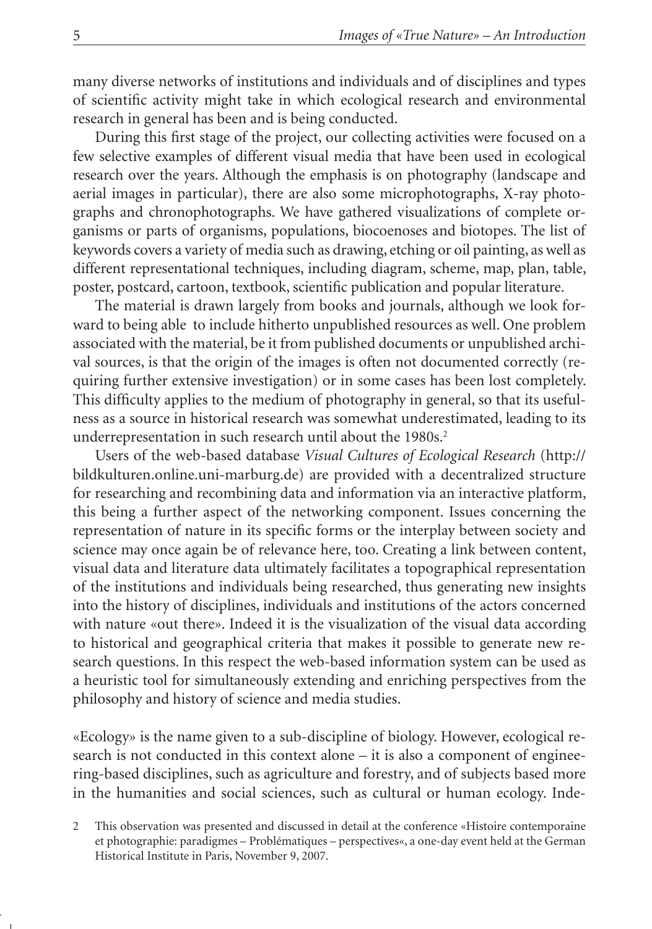many diverse networks of institutions and individuals and of disciplines and types of scientific activity might take in which ecological research and environmental research in general has been and is being conducted.

During this first stage of the project, our collecting activities were focused on a few selective examples of different visual media that have been used in ecological research over the years. Although the emphasis is on photography (landscape and aerial images in particular), there are also some microphotographs, X-ray photographs and chronophotographs. We have gathered visualizations of complete organisms or parts of organisms, populations, biocoenoses and biotopes. The list of keywords covers a variety of media such as drawing, etching or oil painting, as well as different representational techniques, including diagram, scheme, map, plan, table, poster, postcard, cartoon, textbook, scientific publication and popular literature.

The material is drawn largely from books and journals, although we look forward to being able to include hitherto unpublished resources as well. One problem associated with the material, be it from published documents or unpublished archival sources, is that the origin of the images is often not documented correctly (requiring further extensive investigation) or in some cases has been lost completely. This difficulty applies to the medium of photography in general, so that its usefulness as a source in historical research was somewhat underestimated, leading to its underrepresentation in such research until about the 1980s.<sup>2</sup>

Users of the web-based database *Visual Cultures of Ecological Research* (http:// bildkulturen.online.uni-marburg.de) are provided with a decentralized structure for researching and recombining data and information via an interactive platform, this being a further aspect of the networking component. Issues concerning the representation of nature in its specific forms or the interplay between society and science may once again be of relevance here, too. Creating a link between content, visual data and literature data ultimately facilitates a topographical representation of the institutions and individuals being researched, thus generating new insights into the history of disciplines, individuals and institutions of the actors concerned with nature «out there». Indeed it is the visualization of the visual data according to historical and geographical criteria that makes it possible to generate new research questions. In this respect the web-based information system can be used as a heuristic tool for simultaneously extending and enriching perspectives from the philosophy and history of science and media studies.

«Ecology» is the name given to a sub-discipline of biology. However, ecological research is not conducted in this context alone – it is also a component of engineering-based disciplines, such as agriculture and forestry, and of subjects based more in the humanities and social sciences, such as cultural or human ecology. Inde-

<sup>2</sup> This observation was presented and discussed in detail at the conference «Histoire contemporaine et photographie: paradigmes – Problématiques – perspectives«, a one-day event held at the German Historical Institute in Paris, November 9, 2007.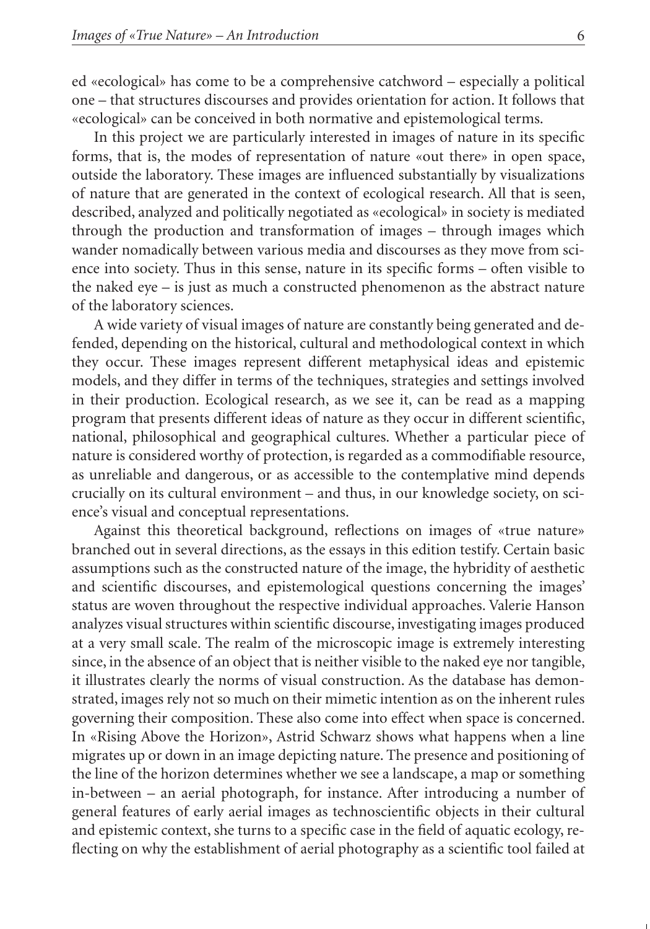ed «ecological» has come to be a comprehensive catchword – especially a political one – that structures discourses and provides orientation for action. It follows that «ecological» can be conceived in both normative and epistemological terms.

In this project we are particularly interested in images of nature in its specific forms, that is, the modes of representation of nature «out there» in open space, outside the laboratory. These images are influenced substantially by visualizations of nature that are generated in the context of ecological research. All that is seen, described, analyzed and politically negotiated as «ecological» in society is mediated through the production and transformation of images – through images which wander nomadically between various media and discourses as they move from science into society. Thus in this sense, nature in its specific forms – often visible to the naked eye – is just as much a constructed phenomenon as the abstract nature of the laboratory sciences.

A wide variety of visual images of nature are constantly being generated and defended, depending on the historical, cultural and methodological context in which they occur. These images represent different metaphysical ideas and epistemic models, and they differ in terms of the techniques, strategies and settings involved in their production. Ecological research, as we see it, can be read as a mapping program that presents different ideas of nature as they occur in different scientific, national, philosophical and geographical cultures. Whether a particular piece of nature is considered worthy of protection, is regarded as a commodifiable resource, as unreliable and dangerous, or as accessible to the contemplative mind depends crucially on its cultural environment – and thus, in our knowledge society, on science's visual and conceptual representations.

Against this theoretical background, reflections on images of «true nature» branched out in several directions, as the essays in this edition testify. Certain basic assumptions such as the constructed nature of the image, the hybridity of aesthetic and scientific discourses, and epistemological questions concerning the images' status are woven throughout the respective individual approaches. Valerie Hanson analyzes visual structures within scientific discourse, investigating images produced at a very small scale. The realm of the microscopic image is extremely interesting since, in the absence of an object that is neither visible to the naked eye nor tangible, it illustrates clearly the norms of visual construction. As the database has demonstrated, images rely not so much on their mimetic intention as on the inherent rules governing their composition. These also come into effect when space is concerned. In «Rising Above the Horizon», Astrid Schwarz shows what happens when a line migrates up or down in an image depicting nature. The presence and positioning of the line of the horizon determines whether we see a landscape, a map or something in-between – an aerial photograph, for instance. After introducing a number of general features of early aerial images as technoscientific objects in their cultural and epistemic context, she turns to a specific case in the field of aquatic ecology, reflecting on why the establishment of aerial photography as a scientific tool failed at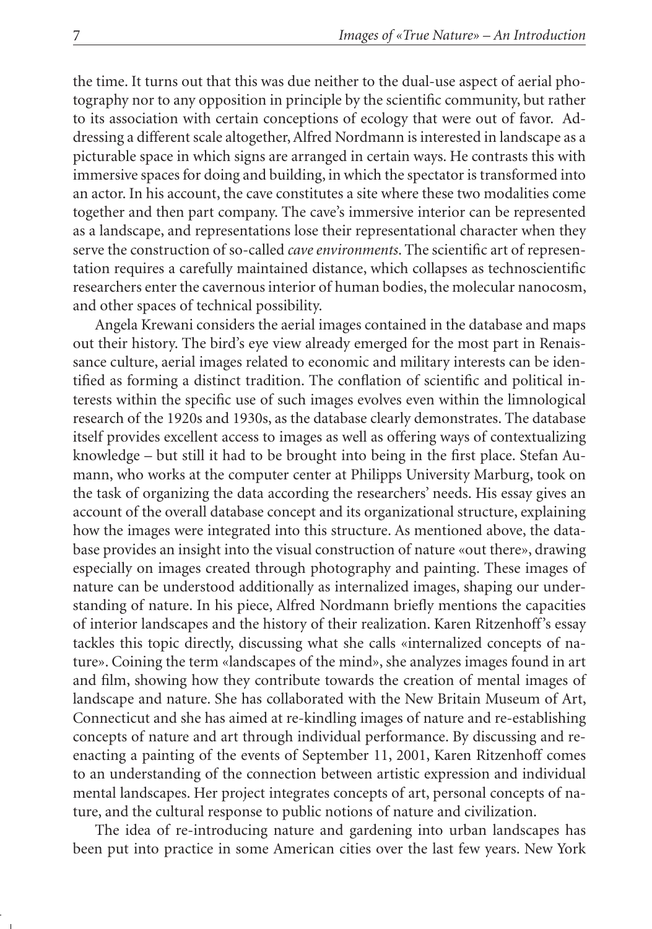the time. It turns out that this was due neither to the dual-use aspect of aerial photography nor to any opposition in principle by the scientific community, but rather to its association with certain conceptions of ecology that were out of favor. Addressing a different scale altogether, Alfred Nordmann is interested in landscape as a picturable space in which signs are arranged in certain ways. He contrasts this with immersive spaces for doing and building, in which the spectator is transformed into an actor. In his account, the cave constitutes a site where these two modalities come together and then part company. The cave's immersive interior can be represented as a landscape, and representations lose their representational character when they serve the construction of so-called *cave environments*. The scientific art of representation requires a carefully maintained distance, which collapses as technoscientific researchers enter the cavernous interior of human bodies, the molecular nanocosm, and other spaces of technical possibility.

Angela Krewani considers the aerial images contained in the database and maps out their history. The bird's eye view already emerged for the most part in Renaissance culture, aerial images related to economic and military interests can be identified as forming a distinct tradition. The conflation of scientific and political interests within the specific use of such images evolves even within the limnological research of the 1920s and 1930s, as the database clearly demonstrates. The database itself provides excellent access to images as well as offering ways of contextualizing knowledge – but still it had to be brought into being in the first place. Stefan Aumann, who works at the computer center at Philipps University Marburg, took on the task of organizing the data according the researchers' needs. His essay gives an account of the overall database concept and its organizational structure, explaining how the images were integrated into this structure. As mentioned above, the database provides an insight into the visual construction of nature «out there», drawing especially on images created through photography and painting. These images of nature can be understood additionally as internalized images, shaping our understanding of nature. In his piece, Alfred Nordmann briefly mentions the capacities of interior landscapes and the history of their realization. Karen Ritzenhoff's essay tackles this topic directly, discussing what she calls «internalized concepts of nature». Coining the term «landscapes of the mind», she analyzes images found in art and film, showing how they contribute towards the creation of mental images of landscape and nature. She has collaborated with the New Britain Museum of Art, Connecticut and she has aimed at re-kindling images of nature and re-establishing concepts of nature and art through individual performance. By discussing and reenacting a painting of the events of September 11, 2001, Karen Ritzenhoff comes to an understanding of the connection between artistic expression and individual mental landscapes. Her project integrates concepts of art, personal concepts of nature, and the cultural response to public notions of nature and civilization.

The idea of re-introducing nature and gardening into urban landscapes has been put into practice in some American cities over the last few years. New York